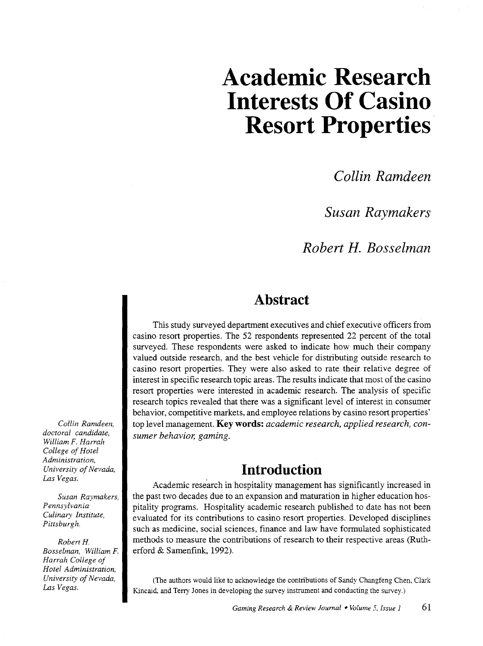# **Academic Research Interests Of Casino Resort Properties**

*Collin Ramdeen* 

*Susan Raymakers* 

*Robert H. Bosselman* 

### **Abstract**

This study surveyed department executives and chief executive officers from casino resort properties. The 52 respondents represented 22 percent of the total surveyed. These respondents were asked to indicate how much their company valued outside research, and the best vehicle for distributing outside research to casino resort properties. They were also asked to rate their relative degree of interest in specific research topic areas. The results indicate that most of the casino resort properties were interested in academic research. The analysis of specific research topics revealed that there was a significant level of interest in consumer behavior, competitive markets, and employee relations by casino resort properties' top level management. **Key words:** *academic research, applied research, consumer behavior, gaming.* 

### **Introduction**

Academic research in hospitality management has significantly increased in the past two decades due to an expansion and maturation in higher education hospitality programs. Hospitality academic research published to date has not been evaluated for its contributions to casino resort properties. Developed disciplines such as medicine, social sciences, finance and law have formulated sophisticated methods to measure the contributions of research to their respective areas (Rutherford & Samenfink, 1992).

(The authors would like to acknowledge the contributions of Sandy Changfeng Chen, Clark Kincaid, and Terry Jones in developing the survey instrument and conducting the survey.)

*Collin Ramdeen, doctoral candidate, William F. Harrah College of Hotel Administration, University of Nevada, Las Vegas.* 

*Susan Raymakers, Pennsylvania Culinary Institute, Pittsburgh.* 

*Robert* H. *Bosselman, William F. Harrah College of Hotel Administration, University of Nevada, Las Vegas.*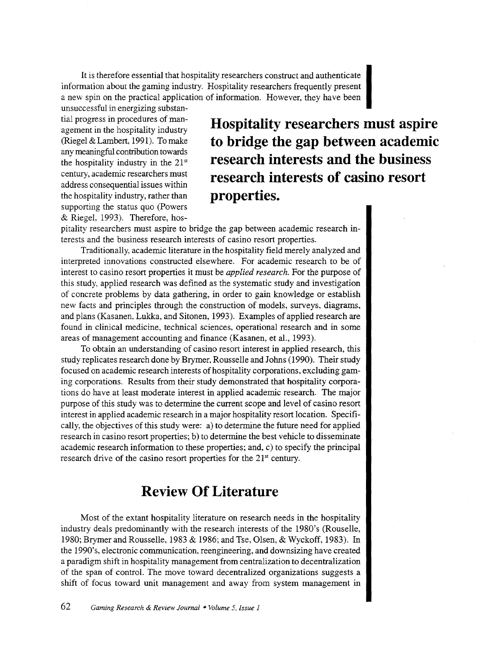It is therefore essential that hospitality researchers construct and authenticate<br>
information about the gaming industry. Hospitality researchers frequently present a new spin on the practical application of information. However, they have been

unsuccessful in energizing substantial progress in procedures of management in the hospitality industry (Riegel & Lambert, 1991). To make any meaningful contribution towards the hospitality industry in the 21st century, academic researchers must address consequential issues within the hospitality industry, rather than supporting the status quo (Powers & Riegel, 1993). Therefore, hos-

**Hospitality researchers must aspire to bridge the gap between academic research interests and the business research interests of casino resort properties.** 

pitality researchers must aspire to bridge the gap between academic research interests and the business research interests of casino resort properties.

Traditionally, academic literature in the hospitality field merely analyzed and interpreted innovations constructed elsewhere. For academic research to be of interest to casino resort properties it must be *applied research.* For the purpose of this study, applied research was defined as the systematic study and investigation of concrete problems by data gathering, in order to gain knowledge or establish new facts and principles through the construction of models, surveys, diagrams, and plans (Kasanen, Lukka, and Sitonen, 1993). Examples of applied research are found in clinical medicine, technical sciences, operational research and in some areas of management accounting and finance (Kasanen, et al., 1993).

To obtain an understanding of casino resort interest in applied research, this study replicates research done by Brymer, Rousselle and Johns (1990). Their study focused on academic research interests of hospitality corporations, excluding gaming corporations. Results from their study demonstrated that hospitality corporations do have at least moderate interest in applied academic research. The major purpose of this study was to determine the current scope and level of casino resort interest in applied academic research in a major hospitality resort location. Specifically, the objectives of this study were: a) to determine the future need for applied research in casino resort properties; b) to determine the best vehicle to disseminate academic research information to these properties; and, c) to specify the principal research drive of the casino resort properties for the  $21<sup>st</sup>$  century.

### **Review Of Literature**

Most of the extant hospitality literature on research needs in the hospitality industry deals predominantly with the research interests of the 1980's (Rouselle, 1980; Brymer and Rousselle, 1983 & 1986; and Tse, Olsen, & Wyckoff, 1983). In the 1990's, electronic communication, reengineering, and downsizing have created a paradigm shift in hospitality management from centralization to decentralization of the span of control. The move toward decentralized organizations suggests a shift of focus toward unit management and away from system management in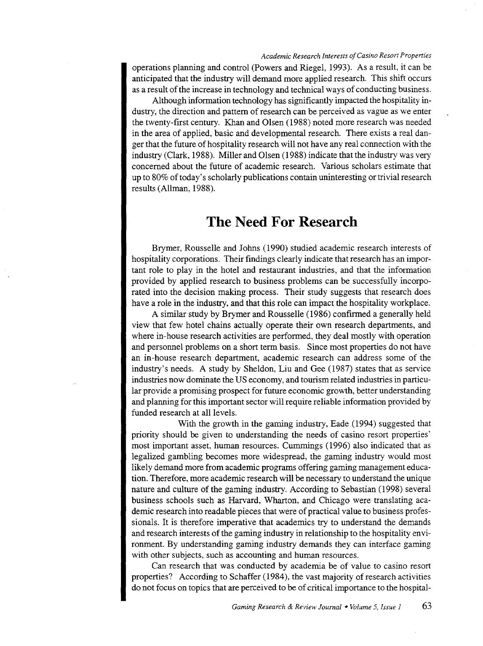#### *Academic Research Interests of Casino Resort Properties*

operations planning and control (Powers and Riegel, 1993). As a result, it can be anticipated that the industry will demand more applied research. This shift occurs as a result of the increase in technology and technical ways of conducting business.

Although information technology has significantly impacted the hospitality industry, the direction and pattern of research can be perceived as vague as we enter the twenty-first century. Khan and Olsen (1988) noted more research was needed in the area of applied, basic and developmental research. There exists a real danger that the future of hospitality research will not have any real connection with the industry (Clark, 1988). Miller and Olsen (1988) indicate that the industry was very concerned about the future of academic research. Various scholars estimate that up to 80% of today' s scholarly publications contain uninteresting or trivial research results (Allman, 1988).

### **The Need For Research**

Brymer, Rousselle and Johns (1990) studied academic research interests of hospitality corporations. Their findings clearly indicate that research has an important role to play in the hotel and restaurant industries, and that the information provided by applied research to business problems can be successfully incorporated into the decision making process. Their study suggests that research does have a role in the industry, and that this role can impact the hospitality workplace.

A similar study by Brymer and Rousselle (1986) confirmed a generally held view that few hotel chains actually operate their own research departments, and where in-house research activities are performed, they deal mostly with operation and personnel problems on a short term basis. Since most properties do not have an in-house research department, academic research can address some of the industry's needs. A study by Sheldon, Liu and Gee (1987) states that as service industries now dominate the US economy, and tourism related industries in particular provide a promising prospect for future economic growth, better understanding and planning for this important sector will require reliable information provided by funded research at all levels.

With the growth in the gaming industry, Eade (1994) suggested that priority should be given to understanding the needs of casino resort properties' most important asset, human resources. Cummings (1996) also indicated that as legalized gambling becomes more widespread, the gaming industry would most likely demand more from academic programs offering gaming management education. Therefore, more academic research will be necessary to understand the unique nature and culture of the gaming industry. According to Sebastian (1998) several business schools such as Harvard, Wharton, and Chicago were translating academic research into readable pieces that were of practical value to business professionals. It is therefore imperative that academics try to understand the demands and research interests of the gaming industry in relationship to the hospitality environment. By understanding gaming industry demands they can interface gaming with other subjects, such as accounting and human resources.

Can research that was conducted by academia be of value to casino resort properties? According to Schaffer (1984), the vast majority of research activities do not focus on topics that are perceived to be of critical importance to the hospital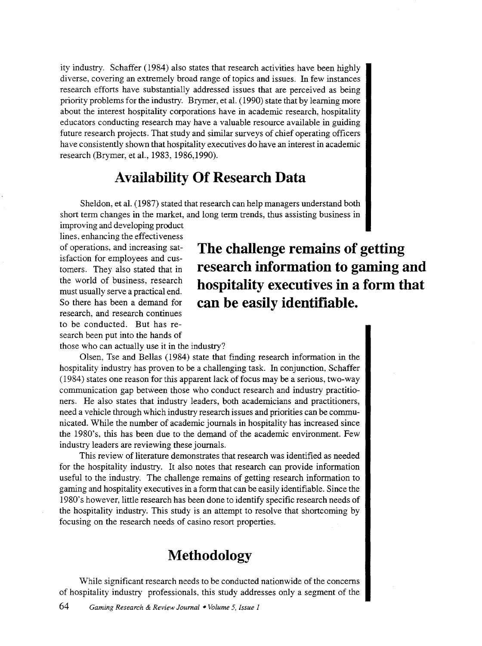ity industry. Schaffer (1984) also states that research activities have been highly diverse, covering an extremely broad range of topics and issues. In few instances research efforts have substantially addressed issues that are perceived as being priority problems for the industry. Brymer, et al. ( 1990) state that by learning more about the interest hospitality corporations have in academic research, hospitality educators conducting research may have a valuable resource available in guiding future research projects. That study and similar surveys of chief operating officers have consistently shown that hospitality executives do have an interest in academic research (Brymer, et al., 1983, 1986,1990).

### **Availability Of Research Data**

Sheldon, et al. (1987) stated that research can help managers understand both short term changes in the market, and long term trends, thus assisting business in

improving and developing product lines, enhancing the effectiveness of operations, and increasing satisfaction for employees and customers. They also stated that in the world of business, research must usually serve a practical end. So there has been a demand for research, and research continues to be conducted. But has research been put into the hands of

## **The challenge remains of getting research information to gaming and hospitality executives in a form that can be easily identifiable.**

those who can actually use it in the industry?

Olsen, Tse and Bellas (1984) state that finding research information in the hospitality industry has proven to be a challenging task. In conjunction, Schaffer ( 1984) states one reason for this apparent lack of focus may be a serious, two-way communication gap between those who conduct research and industry practitioners. He also states that industry leaders, both academicians and practitioners, need a vehicle through which industry research issues and priorities can be communicated. While the number of academic journals in hospitality has increased since the 1980's, this has been due to the demand of the academic environment. Few industry leaders are reviewing these journals.

This review of literature demonstrates that research was identified as needed for the hospitality industry. It also notes that research can provide information useful to the industry. The challenge remains of getting research information to gaming and hospitality executives in a form that can be easily identifiable. Since the 1980's however, little research has been done to identify specific research needs of the hospitality industry. This study is an attempt to resolve that shortcoming by focusing on the research needs of casino resort properties.

### **Methodology**

While significant research needs to be conducted nationwide of the concerns of hospitality industry professionals, this study addresses only a segment of the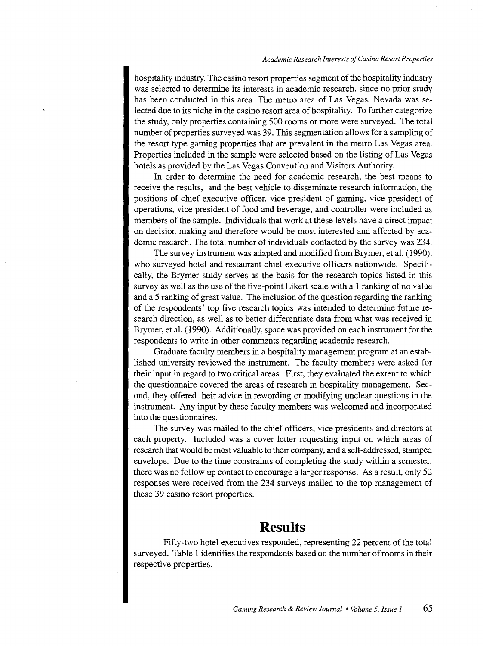#### *Academic Research Interests of Casino Resort Propenies*

hospitality industry. The casino resort properties segment of the hospitality industry was selected to determine its interests in academic research, since no prior study has been conducted in this area. The metro area of Las Vegas, Nevada was selected due to its niche in the casino resort area of hospitality. To further categorize the study, only properties containing 500 rooms or more were surveyed. The total number of properties surveyed was 39. This segmentation allows for a sampling of the resort type gaming properties that are prevalent in the metro Las Vegas area. Properties included in the sample were selected based on the listing of Las Vegas hotels as provided by the Las Vegas Convention and Visitors Authority.

In order to determine the need for academic research, the best means to receive the results, and the best vehicle to disseminate research information, the positions of chief executive officer, vice president of gaming, vice president of operations, vice president of food and beverage, and controller were included as members of the sample. Individuals that work at these levels have a direct impact on decision making and therefore would be most interested and affected by academic research. The total number of individuals contacted by the survey was 234.

The survey instrument was adapted and modified from Brymer, et al. (1990), who surveyed hotel and restaurant chief executive officers nationwide. Specifically, the Brymer study serves as the basis for the research topics listed in this survey as well as the use of the five-point Likert scale with a 1 ranking of no value and a 5 ranking of great value. The inclusion of the question regarding the ranking of the respondents' top five research topics was intended to determine future research direction, as well as to better differentiate data from what was received in Brymer, et al. ( 1990). Additionally, space was provided on each instrument for the respondents to write in other comments regarding academic research.

Graduate faculty members in a hospitality management program at an established university reviewed the instrument. The faculty members were asked for their input in regard to two critical areas. First, they evaluated the extent to which the questionnaire covered the areas of research in hospitality management. Second, they offered their advice in rewording or modifying unclear questions in the instrument. Any input by these faculty members was welcomed and incorporated into the questionnaires.

The survey was mailed to the chief officers, vice presidents and directors at each property. Included was a cover letter requesting input on which areas of research that would be most valuable to their company, and a self-addressed, stamped envelope. Due to the time constraints of completing the study within a semester, there was no follow up contact to encourage a larger response. As a result, only 52 responses were received from the 234 surveys mailed to the top management of these 39 casino resort properties.

### **Results**

Fifty-two hotel executives responded, representing 22 percent of the total surveyed. Table 1 identifies the respondents based on the number of rooms in their respective properties.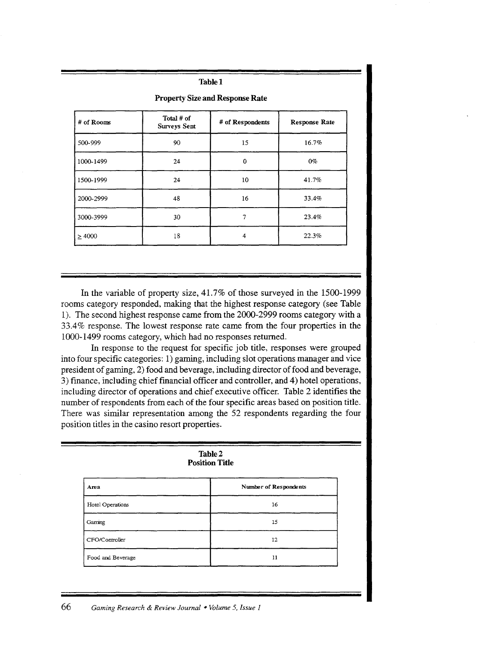#### **Table!**

| # of Rooms  | Total # of          | I Toperty Size and Response Rate |                      |
|-------------|---------------------|----------------------------------|----------------------|
|             | <b>Surveys Sent</b> | # of Respondents                 | <b>Response Rate</b> |
| 500-999     | 90                  | 15                               | 16.7%                |
| 1000-1499   | 24                  | 0                                | $0\%$                |
| 1500-1999   | 24                  | 10                               | 41.7%                |
| 2000-2999   | 48                  | 16                               | 33.4%                |
| 3000-3999   | 30                  | 7                                | 23.4%                |
| $\geq 4000$ | 18                  | 4                                | 22.3%                |

**Property** Size **and Response Rate** 

In the variable of property size, 41.7% of those surveyed in the 1500-1999 rooms category responded, making that the highest response category (see Table 1). The second highest response came from the 2000-2999 rooms category with a 33.4% response. The lowest response rate came from the four properties in the 1000-1499 rooms category, which had no responses returned.

In response to the request for specific job title, responses were grouped into four specific categories: 1) gaming, including slot operations manager and vice president of gaming, 2) food and beverage, including director of food and beverage, 3) finance, including chief financial officer and controller, and 4) hotel operations, including director of operations and chief executive officer. Table 2 identifies the number of respondents from each of the four specific areas based on position title. There was similar representation among the 52 respondents regarding the four position titles in the casino resort properties.

|                   | Table 2<br><b>Position Title</b> |
|-------------------|----------------------------------|
| Area              | Number of Respondents            |
| Hotel Operations  | 16                               |
| Gaming            | 15                               |
| CFO/Controller    | 12                               |
| Food and Beverage | 11                               |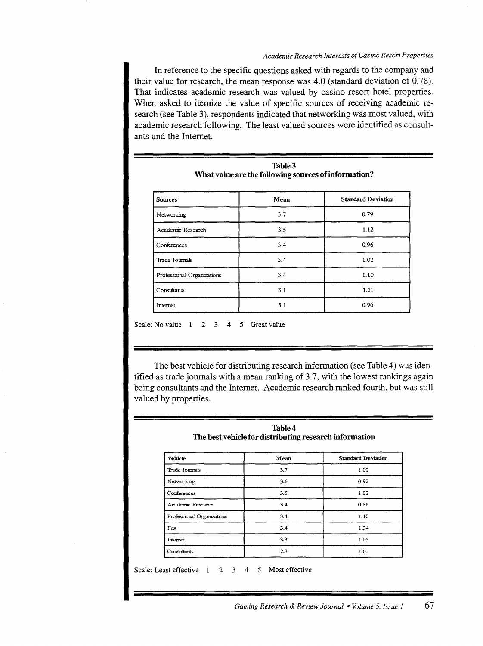#### *Academic Research Interests of Casino Resort Properties*

In reference to the specific questions asked with regards to the company and their value for research, the mean response was  $4.0$  (standard deviation of  $0.78$ ). That indicates academic research was valued by casino resort hotel properties. When asked to itemize the value of specific sources of receiving academic research (see Table 3), respondents indicated that networking was most valued, with academic research following. The least valued sources were identified as consultants and the Internet.

| <b>Sources</b>             | Mean | <b>Standard Deviation</b> |
|----------------------------|------|---------------------------|
| Networking                 | 3.7  | 0.79                      |
| Academic Research          | 3.5  | 1.12                      |
| Conferences                | 3.4  | 0.96                      |
| Trade Journals             | 3.4  | 1.02                      |
| Professional Organizations | 3.4  | 1.10                      |
| Consultants                | 3.1  | 1.11                      |
| Internet                   | 3.1  | 0.96                      |

Scale: No value  $1 \quad 2 \quad 3 \quad 4 \quad 5$  Great value

The best vehicle for distributing research information (see Table 4) was identified as trade journals with a mean ranking of 3.7, with the lowest rankings again being consultants and the Internet. Academic research ranked fourth, but was still valued by properties.

| Vehicle                    | Mean | <b>Standard Deviation</b> |
|----------------------------|------|---------------------------|
| Trade Journals             | 3.7  | 1.02                      |
| Networking                 | 3.6  | 0.92                      |
| Conferences                | 3.5  | 1.02                      |
| Academic Research          | 3.4  | 0.86                      |
| Professional Organizations | 3.4  | 1.10                      |
| Fax                        | 3.4  | 1.34                      |
| Internet                   | 3.3  | 1.05                      |
| Consultants                | 2.3  | 1.02                      |

Scale: Least effective 1 2 3 4 5 Most effective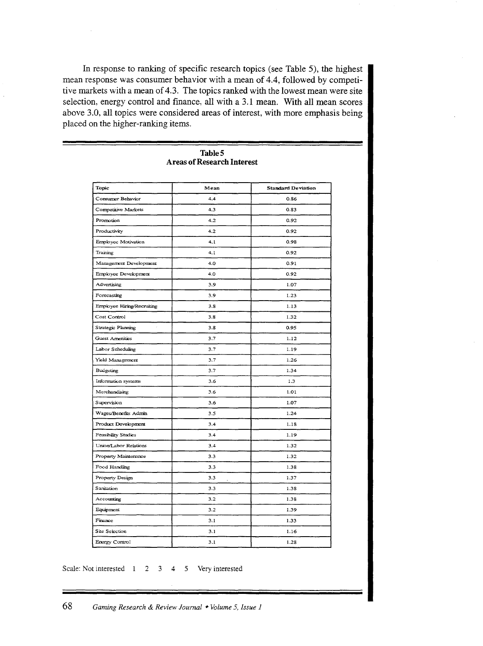In response to ranking of specific research topics (see Table 5), the highest mean response was consumer behavior with a mean of 4.4, followed by competitive markets with a mean of 4.3. The topics ranked with the lowest mean were site selection, energy control and finance, all with a 3.1 mean. **With** all mean scores above 3.0, all topics were considered areas of interest, with more emphasis being placed on the higher-ranking items.

| Topic                      | Mean     | <b>Standard Deviation</b> |
|----------------------------|----------|---------------------------|
| Consumer Behavior          | 4.4      | 0.86                      |
| Competitive Markets        | 4.3      | 0.83                      |
| Promotion                  | 4.2      | 0.92                      |
| Productivity               | 4.2      | 0.92                      |
| Employee Motivation        | 4.1      | 0.98                      |
| Training                   | 4.1      | 0.92                      |
| Management Development     | 4.0      | 0.91                      |
| Employee Development       | 4.0      | 0.92                      |
| Advertising                | 3.9      | 1.07                      |
| Forecasting                | 3.9      | 1.23                      |
| Employee Hiring/Recruiting | 3.8      | 1.13                      |
| Cost Control               | 3.8      | 1.32                      |
| Strategic Planning         | 3.8      | 0.95                      |
| <b>Guest Amenities</b>     | 3.7      | 1.12                      |
| Labor Scheduling           | 3.7      | 1.19                      |
| Yield Management           | 3.7      | 1.26                      |
| Budgeting                  | 3.7      | 1.34                      |
| Information systems        | 3.6      | 1.3                       |
| Merchandising              | 3.6      | 1.01                      |
| Supervision                | 3.6      | 1.07                      |
| Wages/Benefits Admin       | 3.5      | 1.24                      |
| Product Development        | 3.4      | 1.18                      |
| Feasibility Studies        | 3.4      | 1.19                      |
| Union/Labor Relations      | 3.4      | 1.32                      |
| Property Maintenance       | 3.3      | 1.32                      |
| Food Handling              | 3.3      | 1.38                      |
| Property Design            | 3.3<br>ż | 1.37                      |
| Sanitation                 | 3.3      | 1.38                      |
| Accounting                 | 3.2      | 1.38                      |
| Equipment                  | 3.2      | 1.39                      |
| Finance                    | 3.1      | 1.33                      |
| Site Selection             | 3.1      | 1.16                      |
| Energy Control             | 3.1      | 1.28                      |

#### **TableS Areas of Research Interest**

Scale: Not interested 1 2 3 4 5 Very interested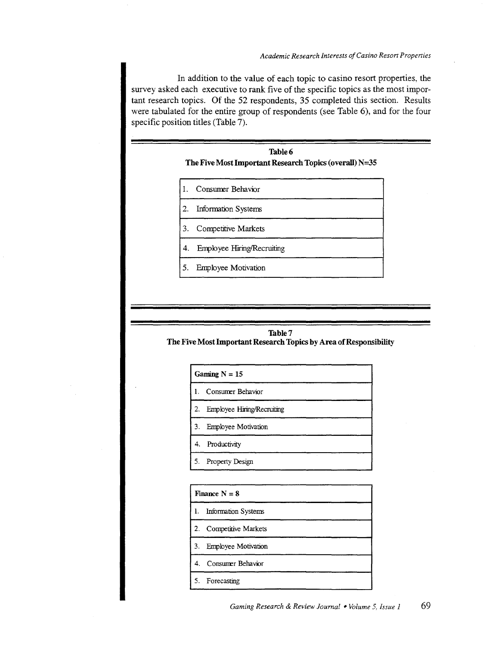*Academic Research Interests of Casino Res on Propenies* 

In addition to the value of each topic to casino resort properties, the survey asked each executive to rank five of the specific topics as the most important research topics. Of the 52 respondents, 35 completed this section. Results were tabulated for the entire group of respondents (see Table 6), and for the four specific position titles (Table 7).



#### Table7

#### The Five Most Important Research Topics by Area of Responsibility

| Gaming $N = 15$               |
|-------------------------------|
| 1. Consumer Behavior          |
| 2. Employee Hiring/Recruiting |
| 3. Employee Motivation        |
| 4. Productivity               |
| 5. Property Design            |

|    | Finance $N = 8$            |
|----|----------------------------|
| 1. | <b>Information Systems</b> |
|    | 2. Competitive Markets     |
| 3. | <b>Employee Motivation</b> |
|    | 4. Consumer Behavior       |
|    | 5. Forecasting             |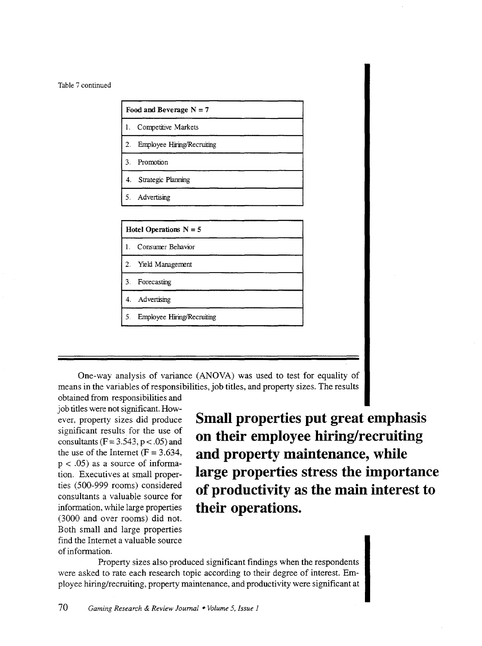| 1.               | Competitive Markets                     |  |
|------------------|-----------------------------------------|--|
| 2.               | Employee Hiring/Recruiting              |  |
| 3.               | Promotion                               |  |
| 4.               | <b>Strategic Planning</b>               |  |
|                  |                                         |  |
| 5.               | Advertising<br>Hotel Operations $N = 5$ |  |
| 1.               | Consumer Behavior                       |  |
| $\overline{2}$ . | Yield Management                        |  |
| 3.               | Forecasting                             |  |
| 4.               | Advertising                             |  |

One-way analysis of variance (ANOVA) was used to test for equality of means in the variables of responsibilities, job titles, and property sizes. The results

obtained from responsibilities and job titles were not significant. However, property sizes did produce significant results for the use of consultants ( $F = 3.543$ ,  $p < .05$ ) and the use of the Internet  $(F = 3.634,$  $p < .05$ ) as a source of information. Executives at small properties (500-999 rooms) considered consultants a valuable source for information, while large properties (3000 and over rooms) did not. Both small and large properties find the Internet a valuable source of information.

**Small properties put great emphasis on their employee hiring/recruiting and property maintenance, while large properties stress the importance of productivity as the main interest to their operations.** 

Property sizes also produced significant findings when the respondents were asked to rate each research topic according to their degree of interest. Employee hiring/recruiting, property maintenance, and productivity were significant at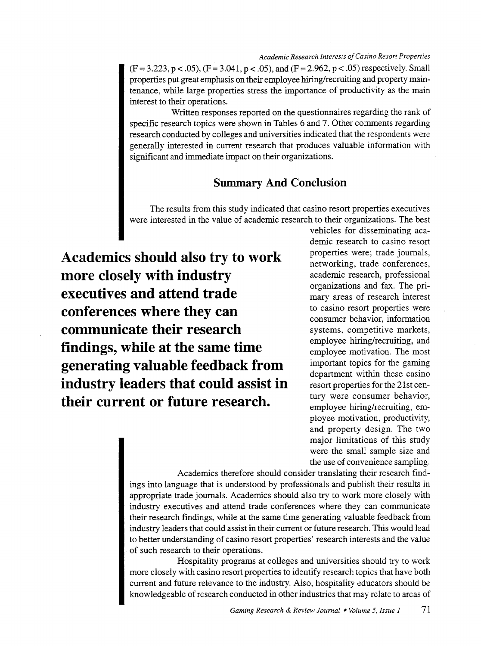$(F = 3.223, p < .05)$ ,  $(F = 3.041, p < .05)$ , and  $(F = 2.962, p < .05)$  respectively. Small properties put great emphasis on their employee hiring/recruiting and property maintenance, while large properties stress the importance of productivity as the main interest to their operations.

Written responses reported on the questionnaires regarding the rank of specific research topics were shown in Tables 6 and 7. Other comments regarding research conducted by colleges and universities indicated that the respondents were generally interested in current research that produces valuable information with significant and immediate impact on their organizations.

#### **Summary And Conclusion**

The results from this study indicated that casino resort properties executives were interested in the value of academic research to their organizations. The best

**Academics should also try to work more closely with industry executives and attend trade conferences where they can communicate their research findings, while at the same time generating valuable feedback from industry leaders that could assist in their current or future research.** 

vehicles for disseminating academic research to casino resort properties were; trade journals, networking, trade conferences, academic research, professional organizations and fax. The primary areas of research interest to casino resort properties were consumer behavior, information systems, competitive markets, employee hiring/recruiting, and employee motivation. The most important topics for the gaming department within these casino resort properties for the 21st century were consumer behavior, employee hiring/recruiting, employee motivation, productivity, and property design. The two major limitations of this study were the small sample size and the use of convenience sampling.

Academics therefore should consider translating their research findings into language that is understood by professionals and publish their results in appropriate trade journals. Academics should also try to work more closely with industry executives and attend trade conferences where they can communicate their research findings, while at the same time generating valuable feedback from industry leaders that could assist in their current or future research. This would lead to better understanding of casino resort properties' research interests and the value . of such research to their operations.

Hospitality programs at colleges and universities should try to work more closely with casino resort properties to identify research topics that have both current and future relevance to the industry. Also, hospitality educators should be knowledgeable of research conducted in other industries that may relate to areas of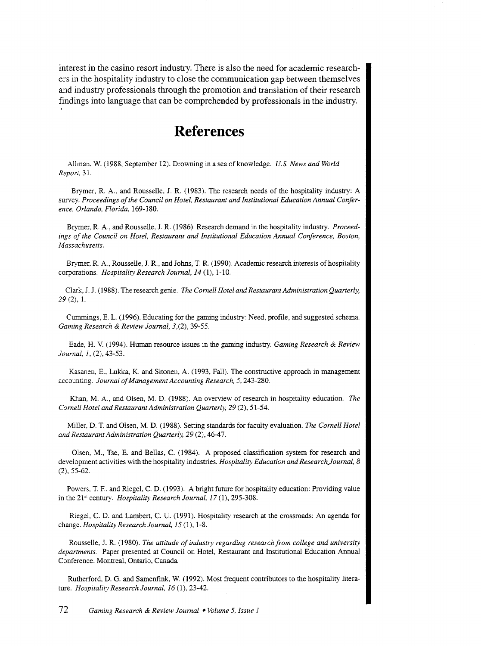interest in the casino resort industry. There is also the need for academic researchers in the hospitality industry to close the communication gap between themselves and industry professionals through the promotion and translation of their research findings into language that can be comprehended by professionals in the industry.

### **References**

Allman, W. (1988, September 12). Drowning in a sea of knowledge. *U.S. News and World Report,* 31.

Brymer. R. A., and Rousselle, J. R. (1983). The research needs of the hospitality industry: A survey. *Proceedings of the Council on Hotel, Restaurant and Institutional Education Annual Conference, Orlando, Florida,* 169-180.

Brymer, R. A., and Rousselle, J. R. ( 1986). Research demand in the hospitality industry. *Proceedings of the Council on Hotel, Restaurant and Institutional Education Annual Conference, Boston, Massachusetts.* 

Brymer, R. A., Rousselle, J. R., and Johns, T. R. (1990). Academic research interests of hospitality corporations. *Hospitality Research Journal, 14* (1), 1-10.

Clark, J. J. (1988). The research genie. *The Cornell Hotel and Restaurant Administration Quarterly, 29* (2), 1.

Cummings, E. L. (1996). Educating for the gaming industry: Need, profile, and suggested schema. *Gaming Research* & *Review Journal,* 3,(2), 39-55.

Eade, H. V. (1994). Human resource issues in the gaming industry. *Gaming Research* & *Review Journal, 1,* (2), 43-53.

Kasanen, E., Lukka, K. and Sitonen, A. (1993, Fall). The constructive approach in management accounting. *Journal of Management Accounting Research, 5,* 243-280.

Khan, M.A., and Olsen, M. D. (1988). An overview of research in hospitality education. *The Cornell Hotel and Restaurant Administration Quarterly, 29* (2), 51-54.

Miller, D. T. and Olsen, M.D. (1988). Setting standards for faculty evaluation. *The Cornell Hotel and Restaurant Administration Quarterly, 29* (2), 46-47.

Olsen, M., Tse, E. and Bellas, C. (1984). A proposed classification system for research and development activities with the hospitality industries. *Hospitality Education and Research\_Journal, 8*  (2), 55-62.

Powers, T. F., and Riegel, C. D. (1993). A bright future for hospitality education: Providing value in the 21" century. *Hospitality Research Journal, 17* (1), 295-308.

Riegel, C. D. and Lambert, C. U. (1991). Hospitality research at the crossroads: An agenda for change. *Hospitality Research Journal, 15* (1), 1-8.

Rousselle, J. R. (1980). *The attitude of industry regarding research from college and university departments.* Paper presented at Council on Hotel, Restaurant and Institutional Education Annual Conference. Montreal, Ontario, Canada

Rutherford, D. G. and Samenfink, W. (1992). Most frequent contributors to the hospitality literature. *Hospitality Research Journal, 16 (1), 23-42.*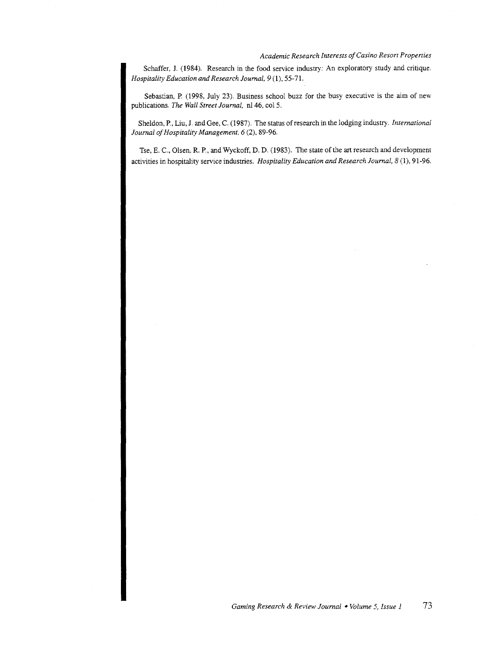#### *Academic Research Interests of Casino Resort Properties*

Schaffer, J. (1984). Research in the food service industry: An exploratory study and critique. *Hospitality Education and Research Journal, 9* (1), 55-71.

Sebastian, P. (1998, July 23). Business school buzz for the busy executive is the aim of new publications. *The Wall Street Journal,* nl46, col 5.

Sheldon, P., Liu, J. and Gee, C. (1987). The status of research in the lodging industry. *International Journal of Hospitality Management, 6* (2), 89-96.

Tse, E. C., Olsen, R. P., and Wyckoff, D. D. (1983). The state of the art research and development activities in hospitality service industries. *Hospitality Education and Research Journal, 8* (1), 91-96.